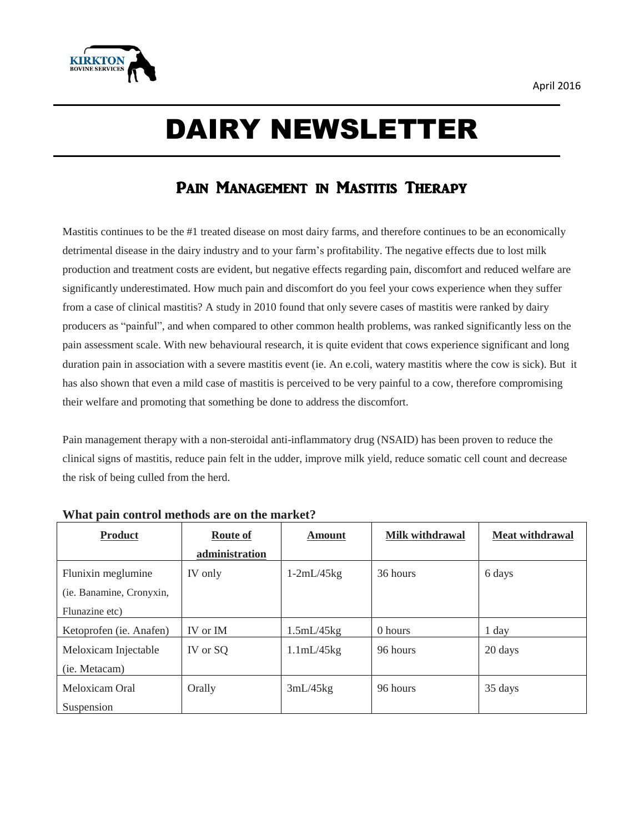

# DAIRY NEWSLETTER

# PAIN MANAGEMENT IN MASTITIS THERAPY

Mastitis continues to be the #1 treated disease on most dairy farms, and therefore continues to be an economically detrimental disease in the dairy industry and to your farm's profitability. The negative effects due to lost milk production and treatment costs are evident, but negative effects regarding pain, discomfort and reduced welfare are significantly underestimated. How much pain and discomfort do you feel your cows experience when they suffer from a case of clinical mastitis? A study in 2010 found that only severe cases of mastitis were ranked by dairy producers as "painful", and when compared to other common health problems, was ranked significantly less on the pain assessment scale. With new behavioural research, it is quite evident that cows experience significant and long duration pain in association with a severe mastitis event (ie. An e.coli, watery mastitis where the cow is sick). But it has also shown that even a mild case of mastitis is perceived to be very painful to a cow, therefore compromising their welfare and promoting that something be done to address the discomfort.

Pain management therapy with a non-steroidal anti-inflammatory drug (NSAID) has been proven to reduce the clinical signs of mastitis, reduce pain felt in the udder, improve milk yield, reduce somatic cell count and decrease the risk of being culled from the herd.

| <b>Product</b>           | <b>Route of</b> | <b>Amount</b> | Milk withdrawal | <b>Meat withdrawal</b> |
|--------------------------|-----------------|---------------|-----------------|------------------------|
|                          | administration  |               |                 |                        |
| Flunixin meglumine       | IV only         | $1-2mL/45kg$  | 36 hours        | 6 days                 |
| (ie. Banamine, Cronyxin, |                 |               |                 |                        |
| Flunazine etc)           |                 |               |                 |                        |
| Ketoprofen (ie. Anafen)  | IV or IM        | 1.5mL/45kg    | 0 hours         | 1 day                  |
| Meloxicam Injectable     | IV or SQ        | 1.1mL/45kg    | 96 hours        | 20 days                |
| (ie. Metacam)            |                 |               |                 |                        |
| Meloxicam Oral           | Orally          | 3mL/45kg      | 96 hours        | 35 days                |
| Suspension               |                 |               |                 |                        |

## **What pain control methods are on the market?**